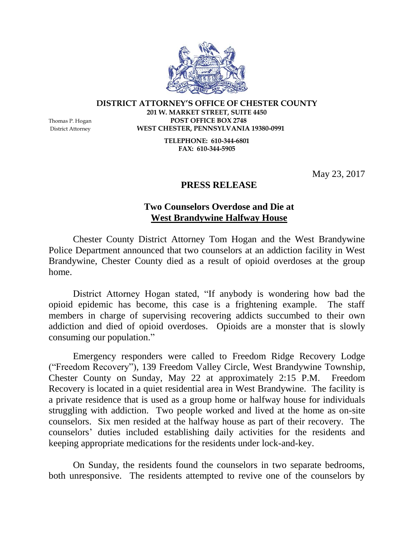

## **DISTRICT ATTORNEY'S OFFICE OF CHESTER COUNTY 201 W. MARKET STREET, SUITE 4450** Thomas P. Hogan **POST OFFICE BOX 2748**

District Attorney **WEST CHESTER, PENNSYLVANIA 19380-0991**

**TELEPHONE: 610-344-6801 FAX: 610-344-5905**

May 23, 2017

## **PRESS RELEASE**

## **Two Counselors Overdose and Die at West Brandywine Halfway House**

Chester County District Attorney Tom Hogan and the West Brandywine Police Department announced that two counselors at an addiction facility in West Brandywine, Chester County died as a result of opioid overdoses at the group home.

District Attorney Hogan stated, "If anybody is wondering how bad the opioid epidemic has become, this case is a frightening example. The staff members in charge of supervising recovering addicts succumbed to their own addiction and died of opioid overdoses. Opioids are a monster that is slowly consuming our population."

Emergency responders were called to Freedom Ridge Recovery Lodge ("Freedom Recovery"), 139 Freedom Valley Circle, West Brandywine Township, Chester County on Sunday, May 22 at approximately 2:15 P.M. Freedom Recovery is located in a quiet residential area in West Brandywine. The facility is a private residence that is used as a group home or halfway house for individuals struggling with addiction. Two people worked and lived at the home as on-site counselors. Six men resided at the halfway house as part of their recovery. The counselors' duties included establishing daily activities for the residents and keeping appropriate medications for the residents under lock-and-key.

On Sunday, the residents found the counselors in two separate bedrooms, both unresponsive. The residents attempted to revive one of the counselors by